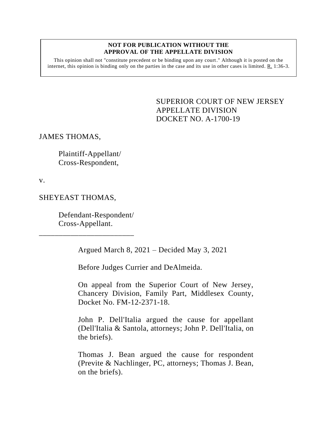## **NOT FOR PUBLICATION WITHOUT THE APPROVAL OF THE APPELLATE DIVISION**

This opinion shall not "constitute precedent or be binding upon any court." Although it is posted on the internet, this opinion is binding only on the parties in the case and its use in other cases is limited.  $R_1$  1:36-3.

> <span id="page-0-0"></span>SUPERIOR COURT OF NEW JERSEY APPELLATE DIVISION DOCKET NO. A-1700-19

## JAMES THOMAS,

Plaintiff-Appellant/ Cross-Respondent,

v.

## SHEYEAST THOMAS,

Defendant-Respondent/ Cross-Appellant.

\_\_\_\_\_\_\_\_\_\_\_\_\_\_\_\_\_\_\_\_\_\_\_\_

Argued March 8, 2021 – Decided May 3, 2021

Before Judges Currier and DeAlmeida.

On appeal from the Superior Court of New Jersey, Chancery Division, Family Part, Middlesex County, Docket No. FM-12-2371-18.

John P. Dell'Italia argued the cause for appellant (Dell'Italia & Santola, attorneys; John P. Dell'Italia, on the briefs).

Thomas J. Bean argued the cause for respondent (Previte & Nachlinger, PC, attorneys; Thomas J. Bean, on the briefs).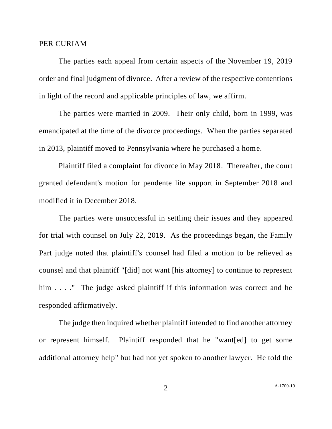## PER CURIAM

The parties each appeal from certain aspects of the November 19, 2019 order and final judgment of divorce. After a review of the respective contentions in light of the record and applicable principles of law, we affirm.

The parties were married in 2009. Their only child, born in 1999, was emancipated at the time of the divorce proceedings. When the parties separated in 2013, plaintiff moved to Pennsylvania where he purchased a home.

Plaintiff filed a complaint for divorce in May 2018. Thereafter, the court granted defendant's motion for pendente lite support in September 2018 and modified it in December 2018.

The parties were unsuccessful in settling their issues and they appeared for trial with counsel on July 22, 2019. As the proceedings began, the Family Part judge noted that plaintiff's counsel had filed a motion to be relieved as counsel and that plaintiff "[did] not want [his attorney] to continue to represent him . . . ." The judge asked plaintiff if this information was correct and he responded affirmatively.

The judge then inquired whether plaintiff intended to find another attorney or represent himself. Plaintiff responded that he "want[ed] to get some additional attorney help" but had not yet spoken to another lawyer. He told the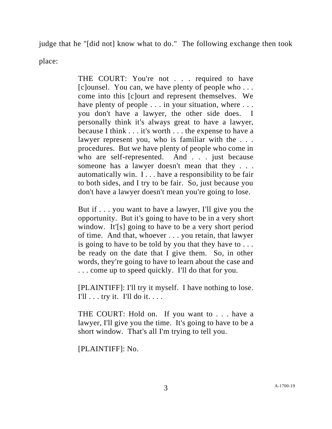judge that he "[did not] know what to do." The following exchange then took

place:

THE COURT: You're not . . . required to have [c]ounsel. You can, we have plenty of people who . . . come into this [c]ourt and represent themselves. We have plenty of people . . . in your situation, where . . . you don't have a lawyer, the other side does. I personally think it's always great to have a lawyer, because I think . . . it's worth . . . the expense to have a lawyer represent you, who is familiar with the . . . procedures. But we have plenty of people who come in who are self-represented. And . . . just because someone has a lawyer doesn't mean that they . . . automatically win. I . . . have a responsibility to be fair to both sides, and I try to be fair. So, just because you don't have a lawyer doesn't mean you're going to lose.

But if . . . you want to have a lawyer, I'll give you the opportunity. But it's going to have to be in a very short window. It'[s] going to have to be a very short period of time. And that, whoever . . . you retain, that lawyer is going to have to be told by you that they have to . . . be ready on the date that I give them. So, in other words, they're going to have to learn about the case and . . . come up to speed quickly. I'll do that for you.

[PLAINTIFF]: I'll try it myself. I have nothing to lose. I'll  $\ldots$  try it. I'll do it.  $\ldots$ 

THE COURT: Hold on. If you want to . . . have a lawyer, I'll give you the time. It's going to have to be a short window. That's all I'm trying to tell you.

[PLAINTIFF]: No.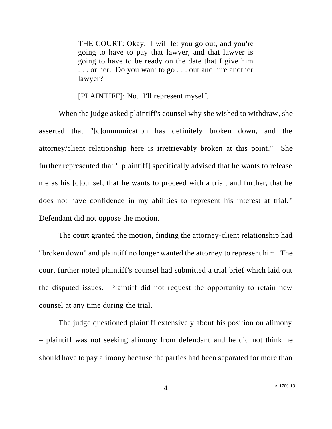THE COURT: Okay. I will let you go out, and you're going to have to pay that lawyer, and that lawyer is going to have to be ready on the date that I give him . . . or her. Do you want to go . . . out and hire another lawyer?

[PLAINTIFF]: No. I'll represent myself.

When the judge asked plaintiff's counsel why she wished to withdraw, she asserted that "[c]ommunication has definitely broken down, and the attorney/client relationship here is irretrievably broken at this point." She further represented that "[plaintiff] specifically advised that he wants to release me as his [c]ounsel, that he wants to proceed with a trial, and further, that he does not have confidence in my abilities to represent his interest at trial. " Defendant did not oppose the motion.

The court granted the motion, finding the attorney-client relationship had "broken down" and plaintiff no longer wanted the attorney to represent him. The court further noted plaintiff's counsel had submitted a trial brief which laid out the disputed issues. Plaintiff did not request the opportunity to retain new counsel at any time during the trial.

The judge questioned plaintiff extensively about his position on alimony – plaintiff was not seeking alimony from defendant and he did not think he should have to pay alimony because the parties had been separated for more than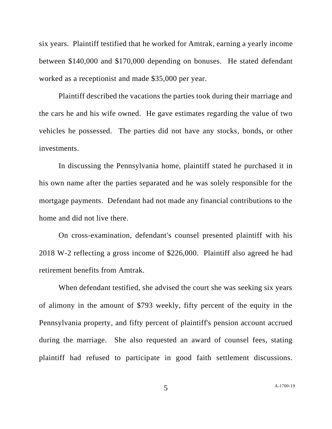six years. Plaintiff testified that he worked for Amtrak, earning a yearly income between \$140,000 and \$170,000 depending on bonuses. He stated defendant worked as a receptionist and made \$35,000 per year.

Plaintiff described the vacations the parties took during their marriage and the cars he and his wife owned. He gave estimates regarding the value of two vehicles he possessed. The parties did not have any stocks, bonds, or other investments.

In discussing the Pennsylvania home, plaintiff stated he purchased it in his own name after the parties separated and he was solely responsible for the mortgage payments. Defendant had not made any financial contributions to the home and did not live there.

On cross-examination, defendant's counsel presented plaintiff with his 2018 W-2 reflecting a gross income of \$226,000. Plaintiff also agreed he had retirement benefits from Amtrak.

When defendant testified, she advised the court she was seeking six years of alimony in the amount of \$793 weekly, fifty percent of the equity in the Pennsylvania property, and fifty percent of plaintiff's pension account accrued during the marriage. She also requested an award of counsel fees, stating plaintiff had refused to participate in good faith settlement discussions.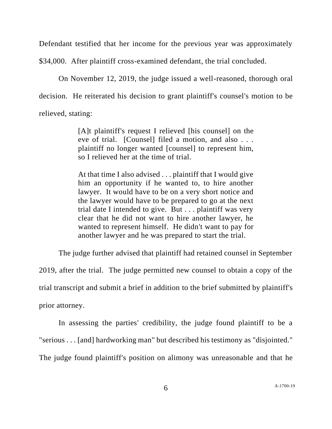Defendant testified that her income for the previous year was approximately

\$34,000. After plaintiff cross-examined defendant, the trial concluded.

On November 12, 2019, the judge issued a well-reasoned, thorough oral decision. He reiterated his decision to grant plaintiff's counsel's motion to be relieved, stating:

> [A]t plaintiff's request I relieved [his counsel] on the eve of trial. [Counsel] filed a motion, and also . . . plaintiff no longer wanted [counsel] to represent him, so I relieved her at the time of trial.

> At that time I also advised . . . plaintiff that I would give him an opportunity if he wanted to, to hire another lawyer. It would have to be on a very short notice and the lawyer would have to be prepared to go at the next trial date I intended to give. But . . . plaintiff was very clear that he did not want to hire another lawyer, he wanted to represent himself. He didn't want to pay for another lawyer and he was prepared to start the trial.

The judge further advised that plaintiff had retained counsel in September 2019, after the trial. The judge permitted new counsel to obtain a copy of the trial transcript and submit a brief in addition to the brief submitted by plaintiff's prior attorney.

In assessing the parties' credibility, the judge found plaintiff to be a "serious . . . [and] hardworking man" but described his testimony as "disjointed." The judge found plaintiff's position on alimony was unreasonable and that he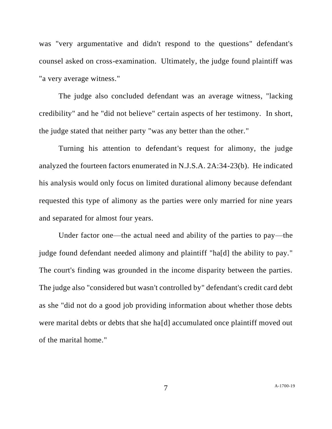was "very argumentative and didn't respond to the questions" defendant's counsel asked on cross-examination. Ultimately, the judge found plaintiff was "a very average witness."

The judge also concluded defendant was an average witness, "lacking credibility" and he "did not believe" certain aspects of her testimony. In short, the judge stated that neither party "was any better than the other."

Turning his attention to defendant's request for alimony, the judge analyzed the fourteen factors enumerated in N.J.S.A. 2A:34-23(b). He indicated his analysis would only focus on limited durational alimony because defendant requested this type of alimony as the parties were only married for nine years and separated for almost four years.

Under factor one—the actual need and ability of the parties to pay—the judge found defendant needed alimony and plaintiff "ha[d] the ability to pay." The court's finding was grounded in the income disparity between the parties. The judge also "considered but wasn't controlled by" defendant's credit card debt as she "did not do a good job providing information about whether those debts were marital debts or debts that she ha[d] accumulated once plaintiff moved out of the marital home."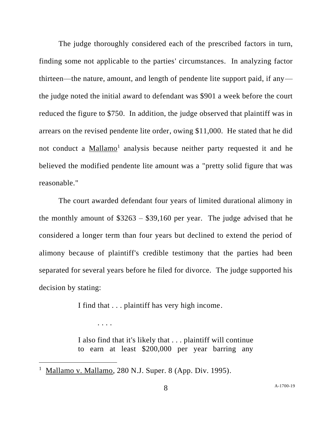The judge thoroughly considered each of the prescribed factors in turn, finding some not applicable to the parties' circumstances. In analyzing factor thirteen—the nature, amount, and length of pendente lite support paid, if any the judge noted the initial award to defendant was \$901 a week before the court reduced the figure to \$750. In addition, the judge observed that plaintiff was in arrears on the revised pendente lite order, owing \$11,000. He stated that he did not conduct a Mallamo<sup>1</sup> analysis because neither party requested it and he believed the modified pendente lite amount was a "pretty solid figure that was reasonable."

The court awarded defendant four years of limited durational alimony in the monthly amount of  $$3263 - $39,160$  per year. The judge advised that he considered a longer term than four years but declined to extend the period of alimony because of plaintiff's credible testimony that the parties had been separated for several years before he filed for divorce. The judge supported his decision by stating:

I find that . . . plaintiff has very high income.

I also find that it's likely that . . . plaintiff will continue to earn at least \$200,000 per year barring any

. . . .

<sup>1</sup> Mallamo v. Mallamo, 280 N.J. Super. 8 (App. Div. 1995).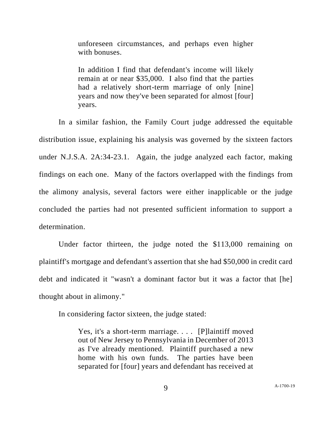unforeseen circumstances, and perhaps even higher with bonuses.

In addition I find that defendant's income will likely remain at or near \$35,000. I also find that the parties had a relatively short-term marriage of only [nine] years and now they've been separated for almost [four] years.

In a similar fashion, the Family Court judge addressed the equitable distribution issue, explaining his analysis was governed by the sixteen factors under N.J.S.A. 2A:34-23.1. Again, the judge analyzed each factor, making findings on each one. Many of the factors overlapped with the findings from the alimony analysis, several factors were either inapplicable or the judge concluded the parties had not presented sufficient information to support a determination.

Under factor thirteen, the judge noted the \$113,000 remaining on plaintiff's mortgage and defendant's assertion that she had \$50,000 in credit card debt and indicated it "wasn't a dominant factor but it was a factor that [he] thought about in alimony."

In considering factor sixteen, the judge stated:

Yes, it's a short-term marriage. . . . [P]laintiff moved out of New Jersey to Pennsylvania in December of 2013 as I've already mentioned. Plaintiff purchased a new home with his own funds. The parties have been separated for [four] years and defendant has received at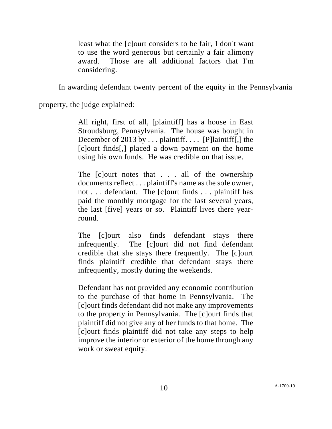least what the [c]ourt considers to be fair, I don't want to use the word generous but certainly a fair alimony award. Those are all additional factors that I'm considering.

In awarding defendant twenty percent of the equity in the Pennsylvania

property, the judge explained:

All right, first of all, [plaintiff] has a house in East Stroudsburg, Pennsylvania. The house was bought in December of 2013 by . . . plaintiff. . . . [P]laintiff[,] the [c]ourt finds[,] placed a down payment on the home using his own funds. He was credible on that issue.

The [c]ourt notes that . . . all of the ownership documents reflect . . . plaintiff's name as the sole owner, not . . . defendant. The [c]ourt finds . . . plaintiff has paid the monthly mortgage for the last several years, the last [five] years or so. Plaintiff lives there yearround.

The *[c]ourt also finds defendant stays there* infrequently. The [c]ourt did not find defendant credible that she stays there frequently. The [c]ourt finds plaintiff credible that defendant stays there infrequently, mostly during the weekends.

Defendant has not provided any economic contribution to the purchase of that home in Pennsylvania. The [c]ourt finds defendant did not make any improvements to the property in Pennsylvania. The [c]ourt finds that plaintiff did not give any of her funds to that home. The [c]ourt finds plaintiff did not take any steps to help improve the interior or exterior of the home through any work or sweat equity.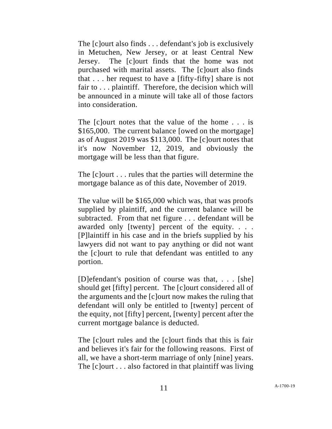The [c]ourt also finds . . . defendant's job is exclusively in Metuchen, New Jersey, or at least Central New Jersey. The [c]ourt finds that the home was not purchased with marital assets. The [c]ourt also finds that . . . her request to have a [fifty-fifty] share is not fair to . . . plaintiff. Therefore, the decision which will be announced in a minute will take all of those factors into consideration.

The [c]ourt notes that the value of the home . . . is \$165,000. The current balance [owed on the mortgage] as of August 2019 was \$113,000. The [c]ourt notes that it's now November 12, 2019, and obviously the mortgage will be less than that figure.

The [c]ourt . . . rules that the parties will determine the mortgage balance as of this date, November of 2019.

The value will be \$165,000 which was, that was proofs supplied by plaintiff, and the current balance will be subtracted. From that net figure . . . defendant will be awarded only [twenty] percent of the equity. . . . [P]laintiff in his case and in the briefs supplied by his lawyers did not want to pay anything or did not want the [c]ourt to rule that defendant was entitled to any portion.

[D]efendant's position of course was that, . . . [she] should get [fifty] percent. The [c]ourt considered all of the arguments and the [c]ourt now makes the ruling that defendant will only be entitled to [twenty] percent of the equity, not [fifty] percent, [twenty] percent after the current mortgage balance is deducted.

The [c]ourt rules and the [c]ourt finds that this is fair and believes it's fair for the following reasons. First of all, we have a short-term marriage of only [nine] years. The [c]ourt . . . also factored in that plaintiff was living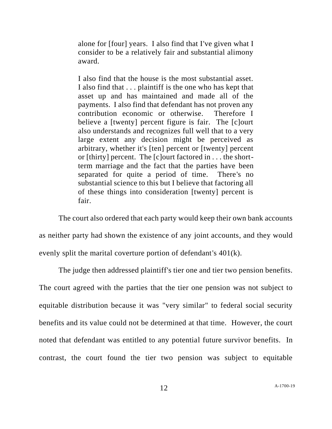alone for [four] years. I also find that I've given what I consider to be a relatively fair and substantial alimony award.

I also find that the house is the most substantial asset. I also find that . . . plaintiff is the one who has kept that asset up and has maintained and made all of the payments. I also find that defendant has not proven any contribution economic or otherwise. Therefore I believe a [twenty] percent figure is fair. The [c]ourt also understands and recognizes full well that to a very large extent any decision might be perceived as arbitrary, whether it's [ten] percent or [twenty] percent or [thirty] percent. The [c]ourt factored in . . . the shortterm marriage and the fact that the parties have been separated for quite a period of time. There's no substantial science to this but I believe that factoring all of these things into consideration [twenty] percent is fair.

The court also ordered that each party would keep their own bank accounts as neither party had shown the existence of any joint accounts, and they would evenly split the marital coverture portion of defendant's 401(k).

The judge then addressed plaintiff's tier one and tier two pension benefits. The court agreed with the parties that the tier one pension was not subject to equitable distribution because it was "very similar" to federal social security benefits and its value could not be determined at that time. However, the court noted that defendant was entitled to any potential future survivor benefits. In contrast, the court found the tier two pension was subject to equitable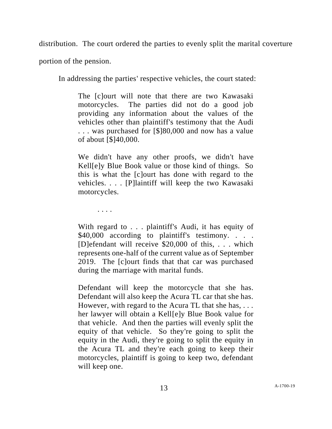distribution. The court ordered the parties to evenly split the marital coverture

portion of the pension.

In addressing the parties' respective vehicles, the court stated:

The [c]ourt will note that there are two Kawasaki motorcycles. The parties did not do a good job providing any information about the values of the vehicles other than plaintiff's testimony that the Audi . . . was purchased for [\$]80,000 and now has a value of about [\$]40,000.

We didn't have any other proofs, we didn't have Kell[e]y Blue Book value or those kind of things. So this is what the [c]ourt has done with regard to the vehicles. . . . [P]laintiff will keep the two Kawasaki motorcycles.

. . . .

With regard to . . . plaintiff's Audi, it has equity of \$40,000 according to plaintiff's testimony. . . . [D]efendant will receive \$20,000 of this, . . . which represents one-half of the current value as of September 2019. The [c]ourt finds that that car was purchased during the marriage with marital funds.

Defendant will keep the motorcycle that she has. Defendant will also keep the Acura TL car that she has. However, with regard to the Acura TL that she has, . . . her lawyer will obtain a Kell[e]y Blue Book value for that vehicle. And then the parties will evenly split the equity of that vehicle. So they're going to split the equity in the Audi, they're going to split the equity in the Acura TL and they're each going to keep their motorcycles, plaintiff is going to keep two, defendant will keep one.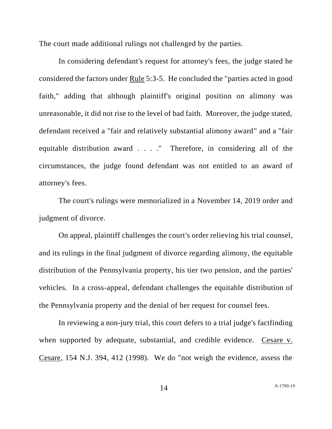The court made additional rulings not challenged by the parties.

In considering defendant's request for attorney's fees, the judge stated he considered the factors under Rule 5:3-5. He concluded the "parties acted in good faith," adding that although plaintiff's original position on alimony was unreasonable, it did not rise to the level of bad faith. Moreover, the judge stated, defendant received a "fair and relatively substantial alimony award" and a "fair equitable distribution award . . . ." Therefore, in considering all of the circumstances, the judge found defendant was not entitled to an award of attorney's fees.

The court's rulings were memorialized in a November 14, 2019 order and judgment of divorce.

On appeal, plaintiff challenges the court's order relieving his trial counsel, and its rulings in the final judgment of divorce regarding alimony, the equitable distribution of the Pennsylvania property, his tier two pension, and the parties' vehicles. In a cross-appeal, defendant challenges the equitable distribution of the Pennsylvania property and the denial of her request for counsel fees.

In reviewing a non-jury trial, this court defers to a trial judge's factfinding when supported by adequate, substantial, and credible evidence. Cesare v. Cesare, 154 N.J. 394, 412 (1998). We do "not weigh the evidence, assess the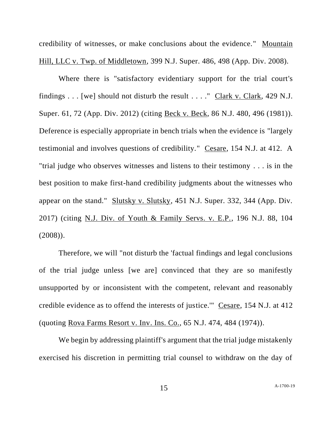credibility of witnesses, or make conclusions about the evidence." Mountain Hill, LLC v. Twp. of Middletown, 399 N.J. Super. 486, 498 (App. Div. 2008).

Where there is "satisfactory evidentiary support for the trial court's findings  $\dots$  [we] should not disturb the result  $\dots$ ." Clark v. Clark, 429 N.J. Super. 61, 72 (App. Div. 2012) (citing Beck v. Beck, 86 N.J. 480, 496 (1981)). Deference is especially appropriate in bench trials when the evidence is "largely testimonial and involves questions of credibility." Cesare, 154 N.J. at 412. A "trial judge who observes witnesses and listens to their testimony . . . is in the best position to make first-hand credibility judgments about the witnesses who appear on the stand." Slutsky v. Slutsky, 451 N.J. Super. 332, 344 (App. Div. 2017) (citing N.J. Div. of Youth & Family Servs. v. E.P., 196 N.J. 88, 104 (2008)).

Therefore, we will "not disturb the 'factual findings and legal conclusions of the trial judge unless [we are] convinced that they are so manifestly unsupported by or inconsistent with the competent, relevant and reasonably credible evidence as to offend the interests of justice.'" Cesare, 154 N.J. at 412 (quoting Rova Farms Resort v. Inv. Ins. Co., 65 N.J. 474, 484 (1974)).

We begin by addressing plaintiff's argument that the trial judge mistakenly exercised his discretion in permitting trial counsel to withdraw on the day of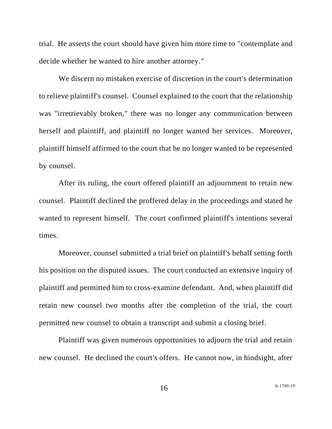trial. He asserts the court should have given him more time to "contemplate and decide whether he wanted to hire another attorney."

We discern no mistaken exercise of discretion in the court's determination to relieve plaintiff's counsel. Counsel explained to the court that the relationship was "irretrievably broken," there was no longer any communication between herself and plaintiff, and plaintiff no longer wanted her services. Moreover, plaintiff himself affirmed to the court that he no longer wanted to be represented by counsel.

After its ruling, the court offered plaintiff an adjournment to retain new counsel. Plaintiff declined the proffered delay in the proceedings and stated he wanted to represent himself. The court confirmed plaintiff's intentions several times.

Moreover, counsel submitted a trial brief on plaintiff's behalf setting forth his position on the disputed issues. The court conducted an extensive inquiry of plaintiff and permitted him to cross-examine defendant. And, when plaintiff did retain new counsel two months after the completion of the trial, the court permitted new counsel to obtain a transcript and submit a closing brief.

Plaintiff was given numerous opportunities to adjourn the trial and retain new counsel. He declined the court's offers. He cannot now, in hindsight, after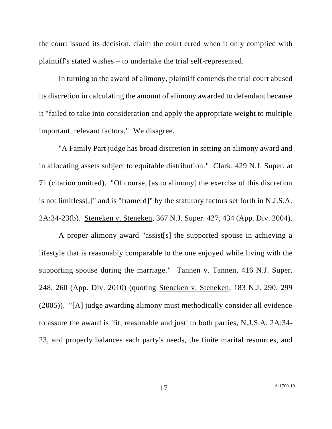the court issued its decision, claim the court erred when it only complied with plaintiff's stated wishes – to undertake the trial self-represented.

In turning to the award of alimony, plaintiff contends the trial court abused its discretion in calculating the amount of alimony awarded to defendant because it "failed to take into consideration and apply the appropriate weight to multiple important, relevant factors." We disagree.

"A Family Part judge has broad discretion in setting an alimony award and in allocating assets subject to equitable distribution." Clark, 429 N.J. Super. at 71 (citation omitted). "Of course, [as to alimony] the exercise of this discretion is not limitless[,]" and is "frame[d]" by the statutory factors set forth in N.J.S.A. 2A:34-23(b). Steneken v. Steneken, 367 N.J. Super. 427, 434 (App. Div. 2004).

A proper alimony award "assist[s] the supported spouse in achieving a lifestyle that is reasonably comparable to the one enjoyed while living with the supporting spouse during the marriage." Tannen v. Tannen, 416 N.J. Super. 248, 260 (App. Div. 2010) (quoting Steneken v. Steneken, 183 N.J. 290, 299 (2005)). "[A] judge awarding alimony must methodically consider all evidence to assure the award is 'fit, reasonable and just' to both parties, N.J.S.A. 2A:34- 23, and properly balances each party's needs, the finite marital resources, and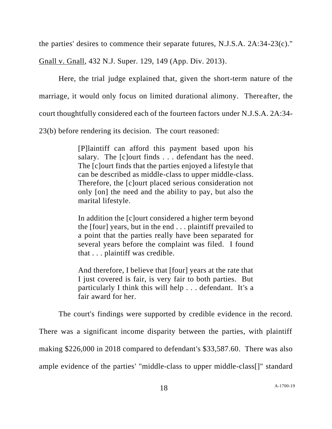the parties' desires to commence their separate futures, N.J.S.A. 2A:34-23(c)."

Gnall v. Gnall, 432 N.J. Super. 129, 149 (App. Div. 2013).

Here, the trial judge explained that, given the short-term nature of the marriage, it would only focus on limited durational alimony. Thereafter, the court thoughtfully considered each of the fourteen factors under N.J.S.A. 2A:34- 23(b) before rendering its decision. The court reasoned:

> [P]laintiff can afford this payment based upon his salary. The [c]ourt finds . . . defendant has the need. The [c]ourt finds that the parties enjoyed a lifestyle that can be described as middle-class to upper middle-class. Therefore, the [c]ourt placed serious consideration not only [on] the need and the ability to pay, but also the marital lifestyle.

> In addition the [c]ourt considered a higher term beyond the [four] years, but in the end . . . plaintiff prevailed to a point that the parties really have been separated for several years before the complaint was filed. I found that . . . plaintiff was credible.

> And therefore, I believe that [four] years at the rate that I just covered is fair, is very fair to both parties. But particularly I think this will help . . . defendant. It's a fair award for her.

The court's findings were supported by credible evidence in the record.

There was a significant income disparity between the parties, with plaintiff making \$226,000 in 2018 compared to defendant's \$33,587.60. There was also ample evidence of the parties' "middle-class to upper middle-class[]" standard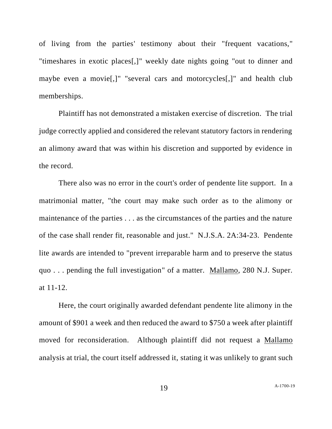of living from the parties' testimony about their "frequent vacations," "timeshares in exotic places[,]" weekly date nights going "out to dinner and maybe even a movie[,]" "several cars and motorcycles[,]" and health club memberships.

Plaintiff has not demonstrated a mistaken exercise of discretion. The trial judge correctly applied and considered the relevant statutory factors in rendering an alimony award that was within his discretion and supported by evidence in the record.

There also was no error in the court's order of pendente lite support. In a matrimonial matter, "the court may make such order as to the alimony or maintenance of the parties . . . as the circumstances of the parties and the nature of the case shall render fit, reasonable and just." N.J.S.A. 2A:34-23. Pendente lite awards are intended to "prevent irreparable harm and to preserve the status quo . . . pending the full investigation" of a matter. Mallamo, 280 N.J. Super. at 11-12.

Here, the court originally awarded defendant pendente lite alimony in the amount of \$901 a week and then reduced the award to \$750 a week after plaintiff moved for reconsideration. Although plaintiff did not request a Mallamo analysis at trial, the court itself addressed it, stating it was unlikely to grant such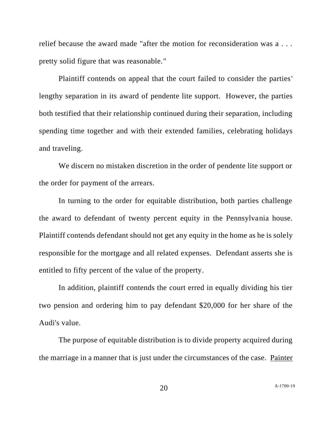relief because the award made "after the motion for reconsideration was a . . . pretty solid figure that was reasonable."

Plaintiff contends on appeal that the court failed to consider the parties' lengthy separation in its award of pendente lite support. However, the parties both testified that their relationship continued during their separation, including spending time together and with their extended families, celebrating holidays and traveling.

We discern no mistaken discretion in the order of pendente lite support or the order for payment of the arrears.

In turning to the order for equitable distribution, both parties challenge the award to defendant of twenty percent equity in the Pennsylvania house. Plaintiff contends defendant should not get any equity in the home as he is solely responsible for the mortgage and all related expenses. Defendant asserts she is entitled to fifty percent of the value of the property.

In addition, plaintiff contends the court erred in equally dividing his tier two pension and ordering him to pay defendant \$20,000 for her share of the Audi's value.

The purpose of equitable distribution is to divide property acquired during the marriage in a manner that is just under the circumstances of the case. Painter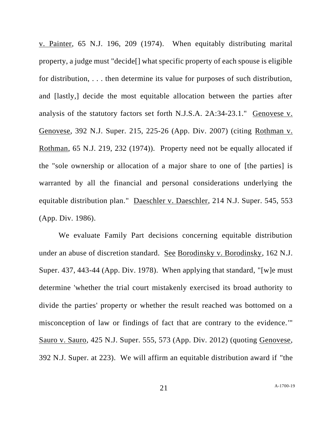v. Painter, 65 N.J. 196, 209 (1974). When equitably distributing marital property, a judge must "decide[] what specific property of each spouse is eligible for distribution, . . . then determine its value for purposes of such distribution, and [lastly,] decide the most equitable allocation between the parties after analysis of the statutory factors set forth N.J.S.A. 2A:34-23.1." Genovese v. Genovese, 392 N.J. Super. 215, 225-26 (App. Div. 2007) (citing Rothman v. Rothman, 65 N.J. 219, 232 (1974)). Property need not be equally allocated if the "sole ownership or allocation of a major share to one of [the parties] is warranted by all the financial and personal considerations underlying the equitable distribution plan." Daeschler v. Daeschler, 214 N.J. Super. 545, 553 (App. Div. 1986).

We evaluate Family Part decisions concerning equitable distribution under an abuse of discretion standard. See Borodinsky v. Borodinsky, 162 N.J. Super. 437, 443-44 (App. Div. 1978). When applying that standard, "[w]e must determine 'whether the trial court mistakenly exercised its broad authority to divide the parties' property or whether the result reached was bottomed on a misconception of law or findings of fact that are contrary to the evidence.'" Sauro v. Sauro, 425 N.J. Super. 555, 573 (App. Div. 2012) (quoting Genovese, 392 N.J. Super. at 223). We will affirm an equitable distribution award if "the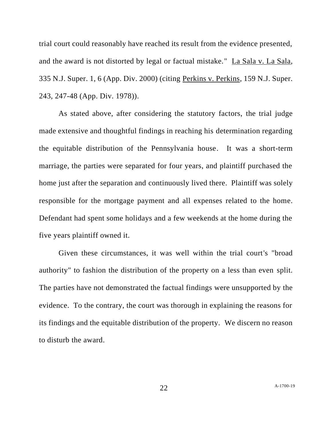trial court could reasonably have reached its result from the evidence presented, and the award is not distorted by legal or factual mistake." La Sala v. La Sala, 335 N.J. Super. 1, 6 (App. Div. 2000) (citing Perkins v. Perkins, 159 N.J. Super. 243, 247-48 (App. Div. 1978)).

As stated above, after considering the statutory factors, the trial judge made extensive and thoughtful findings in reaching his determination regarding the equitable distribution of the Pennsylvania house. It was a short-term marriage, the parties were separated for four years, and plaintiff purchased the home just after the separation and continuously lived there. Plaintiff was solely responsible for the mortgage payment and all expenses related to the home. Defendant had spent some holidays and a few weekends at the home during the five years plaintiff owned it.

Given these circumstances, it was well within the trial court's "broad authority" to fashion the distribution of the property on a less than even split. The parties have not demonstrated the factual findings were unsupported by the evidence. To the contrary, the court was thorough in explaining the reasons for its findings and the equitable distribution of the property. We discern no reason to disturb the award.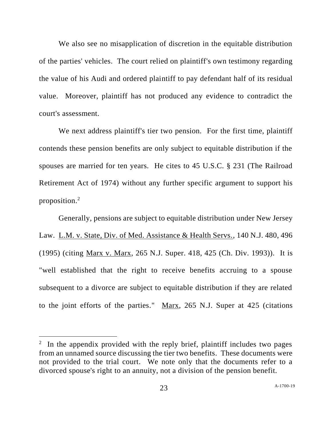We also see no misapplication of discretion in the equitable distribution of the parties' vehicles. The court relied on plaintiff's own testimony regarding the value of his Audi and ordered plaintiff to pay defendant half of its residual value. Moreover, plaintiff has not produced any evidence to contradict the court's assessment.

We next address plaintiff's tier two pension. For the first time, plaintiff contends these pension benefits are only subject to equitable distribution if the spouses are married for ten years. He cites to 45 U.S.C. § 231 (The Railroad Retirement Act of 1974) without any further specific argument to support his proposition.<sup>2</sup>

Generally, pensions are subject to equitable distribution under New Jersey Law. L.M. v. State, Div. of Med. Assistance & Health Servs., 140 N.J. 480, 496 (1995) (citing Marx v. Marx, 265 N.J. Super. 418, 425 (Ch. Div. 1993)). It is "well established that the right to receive benefits accruing to a spouse subsequent to a divorce are subject to equitable distribution if they are related to the joint efforts of the parties." Marx, 265 N.J. Super at 425 (citations

<sup>&</sup>lt;sup>2</sup> In the appendix provided with the reply brief, plaintiff includes two pages from an unnamed source discussing the tier two benefits. These documents were not provided to the trial court. We note only that the documents refer to a divorced spouse's right to an annuity, not a division of the pension benefit.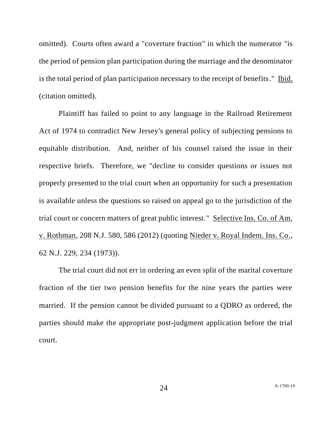omitted). Courts often award a "coverture fraction" in which the numerator "is the period of pension plan participation during the marriage and the denominator is the total period of plan participation necessary to the receipt of benefits." Ibid. (citation omitted).

Plaintiff has failed to point to any language in the Railroad Retirement Act of 1974 to contradict New Jersey's general policy of subjecting pensions to equitable distribution. And, neither of his counsel raised the issue in their respective briefs. Therefore, we "decline to consider questions or issues not properly presented to the trial court when an opportunity for such a presentation is available unless the questions so raised on appeal go to the jurisdiction of the trial court or concern matters of great public interest." Selective Ins. Co. of Am. v. Rothman, 208 N.J. 580, 586 (2012) (quoting Nieder v. Royal Indem. Ins. Co., 62 N.J. 229, 234 (1973)).

The trial court did not err in ordering an even split of the marital coverture fraction of the tier two pension benefits for the nine years the parties were married. If the pension cannot be divided pursuant to a QDRO as ordered, the parties should make the appropriate post-judgment application before the trial court.